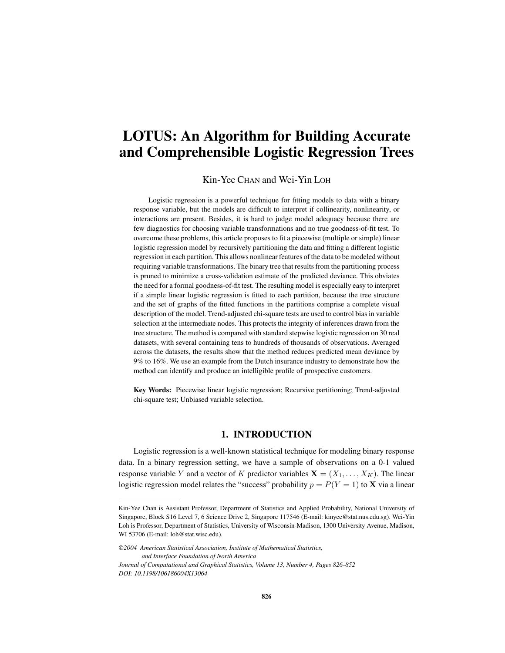# **LOTUS: An Algorithm for Building Accurate** and Comprehensible Logistic Regression Trees

# Kin-Yee CHAN and Wei-Yin LOH

Logistic regression is a powerful technique for fitting models to data with a binary response variable, but the models are difficult to interpret if collinearity, nonlinearity, or interactions are present. Besides, it is hard to judge model adequacy because there are few diagnostics for choosing variable transformations and no true goodness-of-fit test. To overcome these problems, this article proposes to fit a piecewise (multiple or simple) linear logistic regression model by recursively partitioning the data and fitting a different logistic regression in each partition. This allows nonlinear features of the data to be modeled without requiring variable transformations. The binary tree that results from the partitioning process is pruned to minimize a cross-validation estimate of the predicted deviance. This obviates the need for a formal goodness-of-fit test. The resulting model is especially easy to interpret if a simple linear logistic regression is fitted to each partition, because the tree structure and the set of graphs of the fitted functions in the partitions comprise a complete visual description of the model. Trend-adjusted chi-square tests are used to control bias in variable selection at the intermediate nodes. This protects the integrity of inferences drawn from the tree structure. The method is compared with standard stepwise logistic regression on 30 real datasets, with several containing tens to hundreds of thousands of observations. Averaged across the datasets, the results show that the method reduces predicted mean deviance by 9% to 16%. We use an example from the Dutch insurance industry to demonstrate how the method can identify and produce an intelligible profile of prospective customers.

Key Words: Piecewise linear logistic regression; Recursive partitioning; Trend-adjusted chi-square test; Unbiased variable selection.

# 1. INTRODUCTION

Logistic regression is a well-known statistical technique for modeling binary response data. In a binary regression setting, we have a sample of observations on a 0-1 valued response variable Y and a vector of K predictor variables  $X = (X_1, \ldots, X_K)$ . The linear logistic regression model relates the "success" probability  $p = P(Y = 1)$  to **X** via a linear

Kin-Yee Chan is Assistant Professor, Department of Statistics and Applied Probability, National University of Singapore, Block S16 Level 7, 6 Science Drive 2, Singapore 117546 (E-mail: kinyee@stat.nus.edu.sg). Wei-Yin Loh is Professor, Department of Statistics, University of Wisconsin-Madison, 1300 University Avenue, Madison, WI 53706 (E-mail: loh@stat.wisc.edu).

<sup>©2004</sup> American Statistical Association, Institute of Mathematical Statistics, and Interface Foundation of North America

Journal of Computational and Graphical Statistics, Volume 13, Number 4, Pages 826-852 DOI: 10.1198/106186004X13064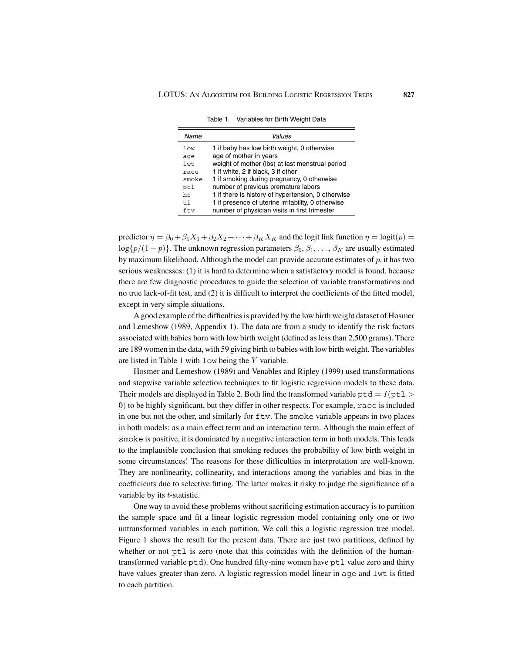| Name   | Values                                             |
|--------|----------------------------------------------------|
| 1ow    | 1 if baby has low birth weight, 0 otherwise        |
| aqe    | age of mother in years                             |
| lwt    | weight of mother (lbs) at last menstrual period    |
| race   | 1 if white, 2 if black, 3 if other                 |
| smoke  | 1 if smoking during pregnancy, 0 otherwise         |
| ptl    | number of previous premature labors                |
| ht.    | 1 if there is history of hypertension, 0 otherwise |
| ui     | 1 if presence of uterine irritability, 0 otherwise |
| $f$ tv | number of physician visits in first trimester      |

Table 1. Variables for Birth Weight Data

predictor  $\eta = \beta_0 + \beta_1 X_1 + \beta_2 X_2 + \cdots + \beta_K X_K$  and the logit link function  $\eta = \text{logit}(p)$  $\log\{p/(1-p)\}\$ . The unknown regression parameters  $\beta_0, \beta_1, \ldots, \beta_K$  are usually estimated by maximum likelihood. Although the model can provide accurate estimates of  $p$ , it has two serious weaknesses: (1) it is hard to determine when a satisfactory model is found, because there are few diagnostic procedures to guide the selection of variable transformations and no true lack-of-fit test, and (2) it is difficult to interpret the coefficients of the fitted model, except in very simple situations.

A good example of the difficulties is provided by the low birth weight dataset of Hosmer and Lemeshow (1989, Appendix 1). The data are from a study to identify the risk factors associated with babies born with low birth weight (defined as less than 2,500 grams). There are 189 women in the data, with 59 giving birth to babies with low birth weight. The variables are listed in Table 1 with  $1ow$  being the  $Y$  variable.

Hosmer and Lemeshow (1989) and Venables and Ripley (1999) used transformations and stepwise variable selection techniques to fit logistic regression models to these data. Their models are displayed in Table 2. Both find the transformed variable  $ptd = I(pt1 >$ 0) to be highly significant, but they differ in other respects. For example, race is included in one but not the other, and similarly for ftv. The smoke variable appears in two places in both models: as a main effect term and an interaction term. Although the main effect of smoke is positive, it is dominated by a negative interaction term in both models. This leads to the implausible conclusion that smoking reduces the probability of low birth weight in some circumstances! The reasons for these difficulties in interpretation are well-known. They are nonlinearity, collinearity, and interactions among the variables and bias in the coefficients due to selective fitting. The latter makes it risky to judge the significance of a variable by its t-statistic.

One way to avoid these problems without sacrificing estimation accuracy is to partition the sample space and fit a linear logistic regression model containing only one or two untransformed variables in each partition. We call this a logistic regression tree model. Figure 1 shows the result for the present data. There are just two partitions, defined by whether or not pt1 is zero (note that this coincides with the definition of the humantransformed variable ptd). One hundred fifty-nine women have ptl value zero and thirty have values greater than zero. A logistic regression model linear in age and lwt is fitted to each partition.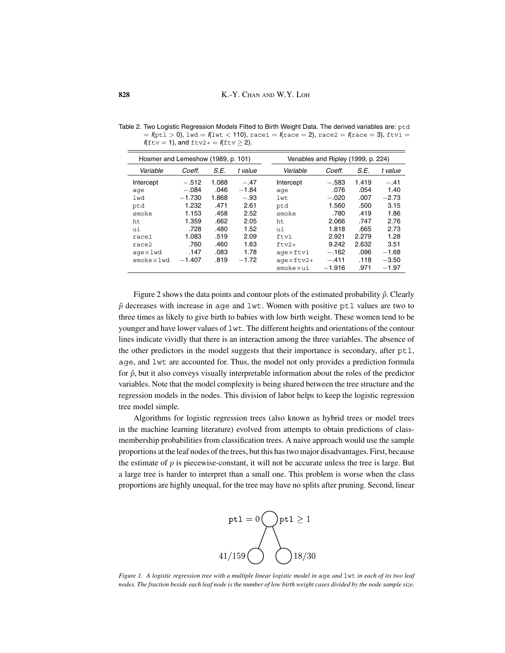| Hosmer and Lemeshow (1989, p. 101) |          |       |         |  | Venables and Ripley (1999, p. 224) |          |       |         |  |
|------------------------------------|----------|-------|---------|--|------------------------------------|----------|-------|---------|--|
| Variable                           | Coeff.   | S.E.  | t value |  | Variable                           | Coeff.   | S.E.  | t value |  |
| Intercept                          | $-.512$  | 1.088 | $-.47$  |  | Intercept                          | $-.583$  | 1.419 | $-.41$  |  |
| aqe                                | $-.084$  | .046  | $-1.84$ |  | aqe                                | .076     | .054  | 1.40    |  |
| lwd                                | $-1.730$ | 1.868 | $-.93$  |  | lwt.                               | $-.020$  | .007  | $-2.73$ |  |
| ptd                                | 1.232    | .471  | 2.61    |  | ptd                                | 1.560    | .500  | 3.15    |  |
| smoke                              | 1.153    | .458  | 2.52    |  | smoke                              | .780     | .419  | 1.86    |  |
| ht.                                | 1.359    | .662  | 2.05    |  | ht                                 | 2.066    | .747  | 2.76    |  |
| ui                                 | .728     | .480  | 1.52    |  | ui                                 | 1.818    | .665  | 2.73    |  |
| race1                              | 1.083    | .519  | 2.09    |  | ftv1                               | 2.921    | 2.279 | 1.28    |  |
| race <sub>2</sub>                  | .760     | .460  | 1.63    |  | $ftv2+$                            | 9.242    | 2.632 | 3.51    |  |
| $aqe \times 1wd$                   | .147     | .083  | 1.78    |  | $a$ ge $\times$ ftv1               | $-.162$  | .096  | $-1.68$ |  |
| smokex1wd                          | $-1.407$ | .819  | $-1.72$ |  | $aq$ e $\times$ ftv2+              | $-.411$  | .118  | $-3.50$ |  |
|                                    |          |       |         |  | smokeXui                           | $-1.916$ | .971  | $-1.97$ |  |

Table 2. Two Logistic Regression Models Fitted to Birth Weight Data. The derived variables are: ptd  $=$   $\ell$ (ptl > 0), lwd =  $\ell$ lwt < 110), race1 =  $\ell$ (race = 2), race2 =  $\ell$ (race = 3), ftv1 =  $I(ftv = 1)$ , and  $ftv2 + I(ftv > 2)$ .

Figure 2 shows the data points and contour plots of the estimated probability  $\hat{p}$ . Clearly  $\hat{p}$  decreases with increase in age and lwt. Women with positive ptl values are two to three times as likely to give birth to babies with low birth weight. These women tend to be younger and have lower values of  $1wt$ . The different heights and orientations of the contour lines indicate vividly that there is an interaction among the three variables. The absence of the other predictors in the model suggests that their importance is secondary, after pt1, age, and lwt are accounted for. Thus, the model not only provides a prediction formula for  $\hat{p}$ , but it also conveys visually interpretable information about the roles of the predictor variables. Note that the model complexity is being shared between the tree structure and the regression models in the nodes. This division of labor helps to keep the logistic regression tree model simple.

Algorithms for logistic regression trees (also known as hybrid trees or model trees in the machine learning literature) evolved from attempts to obtain predictions of classmembership probabilities from classification trees. A naive approach would use the sample proportions at the leaf nodes of the trees, but this has two major disadvantages. First, because the estimate of  $p$  is piecewise-constant, it will not be accurate unless the tree is large. But a large tree is harder to interpret than a small one. This problem is worse when the class proportions are highly unequal, for the tree may have no splits after pruning. Second, linear



Figure 1. A logistic regression tree with a multiple linear logistic model in age and lwt in each of its two leaf nodes. The fraction beside each leaf node is the number of low birth weight cases divided by the node sample size.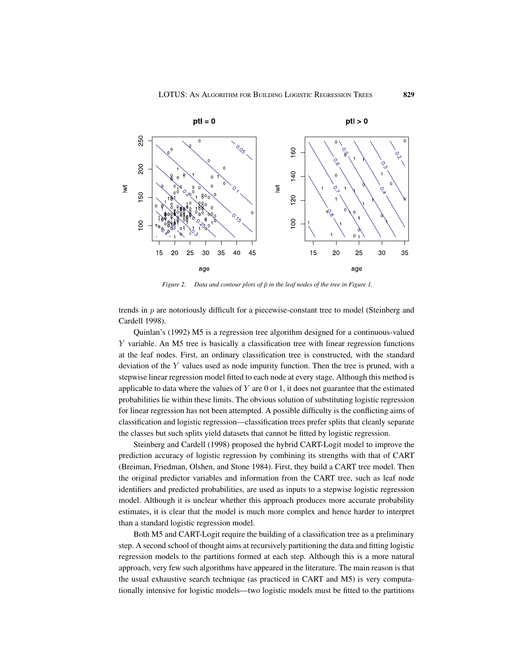

Data and contour plots of  $\hat{p}$  in the leaf nodes of the tree in Figure 1. Figure 2.

trends in  $p$  are notoriously difficult for a piecewise-constant tree to model (Steinberg and Cardell 1998).

Quinlan's (1992) M5 is a regression tree algorithm designed for a continuous-valued Y variable. An M5 tree is basically a classification tree with linear regression functions at the leaf nodes. First, an ordinary classification tree is constructed, with the standard deviation of the  $Y$  values used as node impurity function. Then the tree is pruned, with a stepwise linear regression model fitted to each node at every stage. Although this method is applicable to data where the values of  $Y$  are  $0$  or 1, it does not guarantee that the estimated probabilities lie within these limits. The obvious solution of substituting logistic regression for linear regression has not been attempted. A possible difficulty is the conflicting aims of classification and logistic regression—classification trees prefer splits that cleanly separate the classes but such splits yield datasets that cannot be fitted by logistic regression.

Steinberg and Cardell (1998) proposed the hybrid CART-Logit model to improve the prediction accuracy of logistic regression by combining its strengths with that of CART (Breiman, Friedman, Olshen, and Stone 1984). First, they build a CART tree model. Then the original predictor variables and information from the CART tree, such as leaf node identifiers and predicted probabilities, are used as inputs to a stepwise logistic regression model. Although it is unclear whether this approach produces more accurate probability estimates, it is clear that the model is much more complex and hence harder to interpret than a standard logistic regression model.

Both M5 and CART-Logit require the building of a classification tree as a preliminary step. A second school of thought aims at recursively partitioning the data and fitting logistic regression models to the partitions formed at each step. Although this is a more natural approach, very few such algorithms have appeared in the literature. The main reason is that the usual exhaustive search technique (as practiced in CART and M5) is very computationally intensive for logistic models—two logistic models must be fitted to the partitions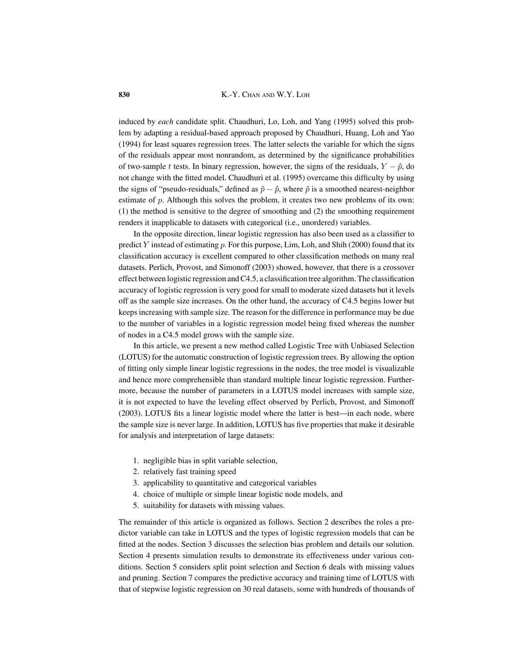induced by each candidate split. Chaudhuri, Lo, Loh, and Yang (1995) solved this problem by adapting a residual-based approach proposed by Chaudhuri, Huang, Loh and Yao (1994) for least squares regression trees. The latter selects the variable for which the signs of the residuals appear most nonrandom, as determined by the significance probabilities of two-sample t tests. In binary regression, however, the signs of the residuals,  $Y - \hat{p}$ , do not change with the fitted model. Chaudhuri et al. (1995) overcame this difficulty by using the signs of "pseudo-residuals," defined as  $\tilde{p} - \hat{p}$ , where  $\tilde{p}$  is a smoothed nearest-neighbor estimate of  $p$ . Although this solves the problem, it creates two new problems of its own:  $(1)$  the method is sensitive to the degree of smoothing and  $(2)$  the smoothing requirement renders it inapplicable to datasets with categorical (i.e., unordered) variables.

In the opposite direction, linear logistic regression has also been used as a classifier to predict Y instead of estimating p. For this purpose, Lim, Loh, and Shih  $(2000)$  found that its classification accuracy is excellent compared to other classification methods on many real datasets. Perlich, Provost, and Simonoff (2003) showed, however, that there is a crossover effect between logistic regression and C4.5, a classification tree algorithm. The classification accuracy of logistic regression is very good for small to moderate sized datasets but it levels off as the sample size increases. On the other hand, the accuracy of C4.5 begins lower but keeps increasing with sample size. The reason for the difference in performance may be due to the number of variables in a logistic regression model being fixed whereas the number of nodes in a C4.5 model grows with the sample size.

In this article, we present a new method called Logistic Tree with Unbiased Selection (LOTUS) for the automatic construction of logistic regression trees. By allowing the option of fitting only simple linear logistic regressions in the nodes, the tree model is visualizable and hence more comprehensible than standard multiple linear logistic regression. Furthermore, because the number of parameters in a LOTUS model increases with sample size, it is not expected to have the leveling effect observed by Perlich, Provost, and Simonoff (2003). LOTUS fits a linear logistic model where the latter is best—in each node, where the sample size is never large. In addition, LOTUS has five properties that make it desirable for analysis and interpretation of large datasets:

- 1. negligible bias in split variable selection,
- 2. relatively fast training speed
- 3. applicability to quantitative and categorical variables
- 4. choice of multiple or simple linear logistic node models, and
- 5. suitability for datasets with missing values.

The remainder of this article is organized as follows. Section 2 describes the roles a predictor variable can take in LOTUS and the types of logistic regression models that can be fitted at the nodes. Section 3 discusses the selection bias problem and details our solution. Section 4 presents simulation results to demonstrate its effectiveness under various conditions. Section 5 considers split point selection and Section 6 deals with missing values and pruning. Section 7 compares the predictive accuracy and training time of LOTUS with that of stepwise logistic regression on 30 real datasets, some with hundreds of thousands of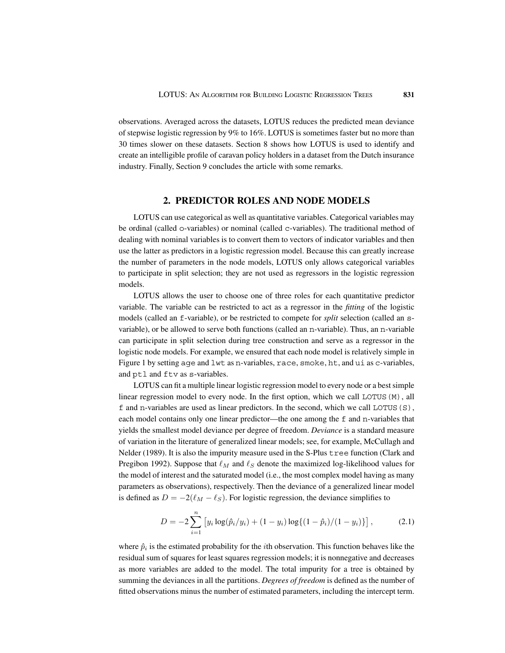observations. Averaged across the datasets, LOTUS reduces the predicted mean deviance of stepwise logistic regression by 9% to 16%. LOTUS is sometimes faster but no more than 30 times slower on these datasets. Section 8 shows how LOTUS is used to identify and create an intelligible profile of caravan policy holders in a dataset from the Dutch insurance industry. Finally, Section 9 concludes the article with some remarks.

#### 2. PREDICTOR ROLES AND NODE MODELS

LOTUS can use categorical as well as quantitative variables. Categorical variables may be ordinal (called  $\circ$ -variables) or nominal (called  $\circ$ -variables). The traditional method of dealing with nominal variables is to convert them to vectors of indicator variables and then use the latter as predictors in a logistic regression model. Because this can greatly increase the number of parameters in the node models, LOTUS only allows categorical variables to participate in split selection; they are not used as regressors in the logistic regression models.

LOTUS allows the user to choose one of three roles for each quantitative predictor variable. The variable can be restricted to act as a regressor in the *fitting* of the logistic models (called an f-variable), or be restricted to compete for *split* selection (called an svariable), or be allowed to serve both functions (called an n-variable). Thus, an n-variable can participate in split selection during tree construction and serve as a regressor in the logistic node models. For example, we ensured that each node model is relatively simple in Figure 1 by setting age and lwt as n-variables, race, smoke, ht, and ui as c-variables, and ptl and ftv as s-variables.

LOTUS can fit a multiple linear logistic regression model to every node or a best simple linear regression model to every node. In the first option, which we call LOTUS (M), all f and n-variables are used as linear predictors. In the second, which we call LOTUS  $(S)$ , each model contains only one linear predictor—the one among the f and n-variables that yields the smallest model deviance per degree of freedom. *Deviance* is a standard measure of variation in the literature of generalized linear models; see, for example, McCullagh and Nelder (1989). It is also the impurity measure used in the S-Plus tree function (Clark and Pregibon 1992). Suppose that  $\ell_M$  and  $\ell_S$  denote the maximized log-likelihood values for the model of interest and the saturated model (i.e., the most complex model having as many parameters as observations), respectively. Then the deviance of a generalized linear model is defined as  $D = -2(\ell_M - \ell_S)$ . For logistic regression, the deviance simplifies to

$$
D = -2\sum_{i=1}^{n} \left[ y_i \log(\hat{p}_i/y_i) + (1 - y_i) \log\{(1 - \hat{p}_i)/(1 - y_i)\} \right],
$$
 (2.1)

where  $\hat{p}_i$  is the estimated probability for the *i*th observation. This function behaves like the residual sum of squares for least squares regression models; it is nonnegative and decreases as more variables are added to the model. The total impurity for a tree is obtained by summing the deviances in all the partitions. Degrees of freedom is defined as the number of fitted observations minus the number of estimated parameters, including the intercept term.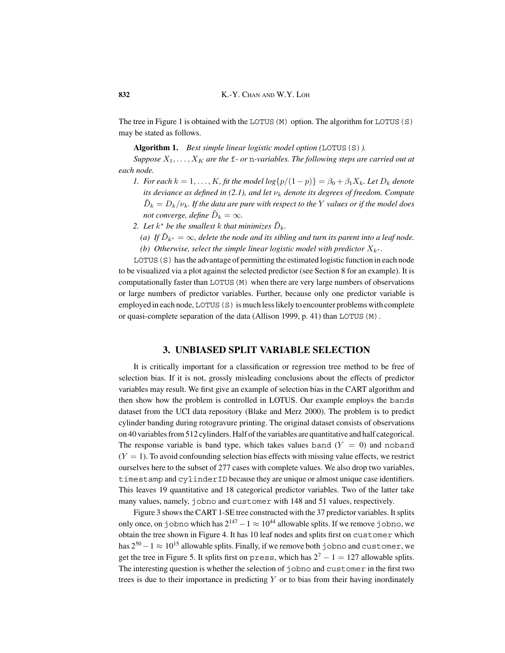The tree in Figure 1 is obtained with the LOTUS  $(M)$  option. The algorithm for LOTUS  $(S)$ may be stated as follows.

**Algorithm 1.** Best simple linear logistic model option  $(LOTUS(S))$ .

Suppose  $X_1, \ldots, X_K$  are the f- or n-variables. The following steps are carried out at each node.

- 1. For each  $k = 1, ..., K$ , fit the model  $log\{p/(1-p)\} = \beta_0 + \beta_1 X_k$ . Let  $D_k$  denote its deviance as defined in (2.1), and let  $\nu_k$  denote its degrees of freedom. Compute  $\bar{D}_k = D_k/\nu_k$ . If the data are pure with respect to the Y values or if the model does not converge, define  $\bar{D}_k = \infty$ .
- 2. Let  $k^*$  be the smallest k that minimizes  $\bar{D}_k$ .
	- (a) If  $\bar{D}_{k^*} = \infty$ , delete the node and its sibling and turn its parent into a leaf node.
	- (b) Otherwise, select the simple linear logistic model with predictor  $X_{k^*}$ .

LOTUS (S) has the advantage of permitting the estimated logistic function in each node to be visualized via a plot against the selected predictor (see Section 8 for an example). It is computationally faster than LOTUS (M) when there are very large numbers of observations or large numbers of predictor variables. Further, because only one predictor variable is employed in each node, LOTUS  $(S)$  is much less likely to encounter problems with complete or quasi-complete separation of the data (Allison 1999, p. 41) than LOTUS (M).

#### 3. UNBIASED SPLIT VARIABLE SELECTION

It is critically important for a classification or regression tree method to be free of selection bias. If it is not, grossly misleading conclusions about the effects of predictor variables may result. We first give an example of selection bias in the CART algorithm and then show how the problem is controlled in LOTUS. Our example employs the bands dataset from the UCI data repository (Blake and Merz 2000). The problem is to predict cylinder banding during rotogravure printing. The original dataset consists of observations on 40 variables from 512 cylinders. Half of the variables are quantitative and half categorical. The response variable is band type, which takes values band  $(Y = 0)$  and noband  $(Y = 1)$ . To avoid confounding selection bias effects with missing value effects, we restrict ourselves here to the subset of 277 cases with complete values. We also drop two variables, timestamp and cylinderID because they are unique or almost unique case identifiers. This leaves 19 quantitative and 18 categorical predictor variables. Two of the latter take many values, namely, jobno and customer with 148 and 51 values, respectively.

Figure 3 shows the CART 1-SE tree constructed with the 37 predictor variables. It splits only once, on jobno which has  $2^{147} - 1 \approx 10^{44}$  allowable splits. If we remove jobno, we obtain the tree shown in Figure 4. It has 10 leaf nodes and splits first on customer which has  $2^{50} - 1 \approx 10^{15}$  allowable splits. Finally, if we remove both jobno and customer, we get the tree in Figure 5. It splits first on press, which has  $2^7 - 1 = 127$  allowable splits. The interesting question is whether the selection of jobno and customer in the first two trees is due to their importance in predicting  $Y$  or to bias from their having inordinately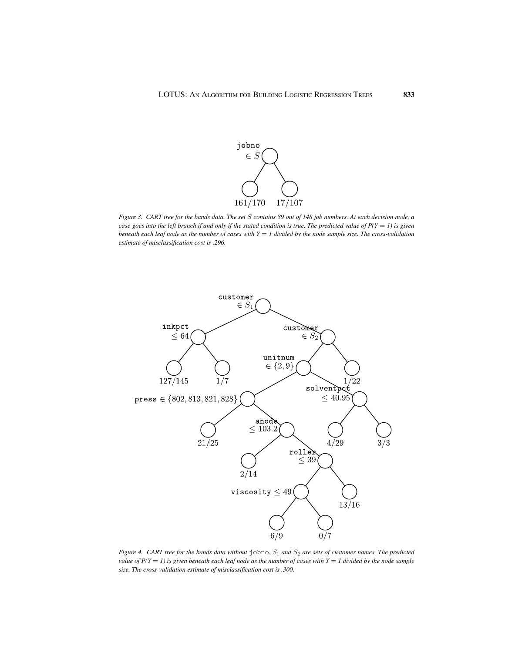

Figure 3. CART tree for the bands data. The set S contains 89 out of 148 job numbers. At each decision node, a case goes into the left branch if and only if the stated condition is true. The predicted value of  $P(Y = 1)$  is given beneath each leaf node as the number of cases with  $Y = 1$  divided by the node sample size. The cross-validation estimate of misclassification cost is .296.



Figure 4. CART tree for the bands data without jobno.  $S_1$  and  $S_2$  are sets of customer names. The predicted value of  $P(Y = 1)$  is given beneath each leaf node as the number of cases with  $Y = 1$  divided by the node sample size. The cross-validation estimate of misclassification cost is .300.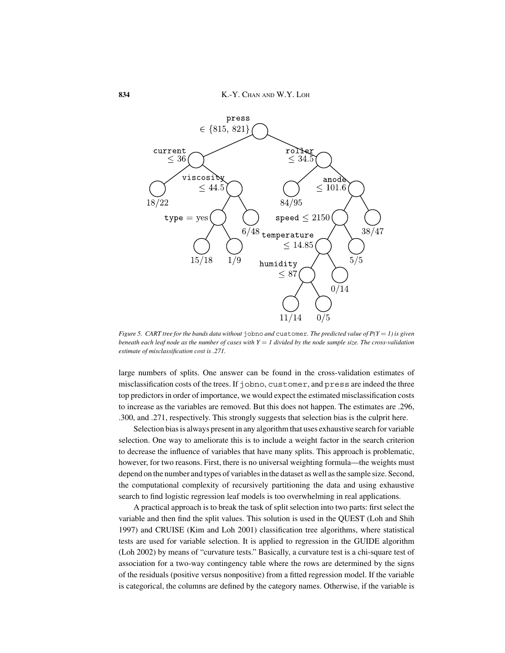

Figure 5. CART tree for the bands data without jobno and customer. The predicted value of  $P(Y = 1)$  is given beneath each leaf node as the number of cases with  $Y = 1$  divided by the node sample size. The cross-validation estimate of misclassification cost is .271.

large numbers of splits. One answer can be found in the cross-validation estimates of misclassification costs of the trees. If  $\overline{1}$  obno, customer, and press are indeed the three top predictors in order of importance, we would expect the estimated misclassification costs to increase as the variables are removed. But this does not happen. The estimates are .296, .300, and .271, respectively. This strongly suggests that selection bias is the culprit here.

Selection bias is always present in any algorithm that uses exhaustive search for variable selection. One way to ameliorate this is to include a weight factor in the search criterion to decrease the influence of variables that have many splits. This approach is problematic, however, for two reasons. First, there is no universal weighting formula—the weights must depend on the number and types of variables in the dataset as well as the sample size. Second, the computational complexity of recursively partitioning the data and using exhaustive search to find logistic regression leaf models is too overwhelming in real applications.

A practical approach is to break the task of split selection into two parts: first select the variable and then find the split values. This solution is used in the OUEST (Loh and Shih 1997) and CRUISE (Kim and Loh 2001) classification tree algorithms, where statistical tests are used for variable selection. It is applied to regression in the GUIDE algorithm (Loh 2002) by means of "curvature tests." Basically, a curvature test is a chi-square test of association for a two-way contingency table where the rows are determined by the signs of the residuals (positive versus nonpositive) from a fitted regression model. If the variable is categorical, the columns are defined by the category names. Otherwise, if the variable is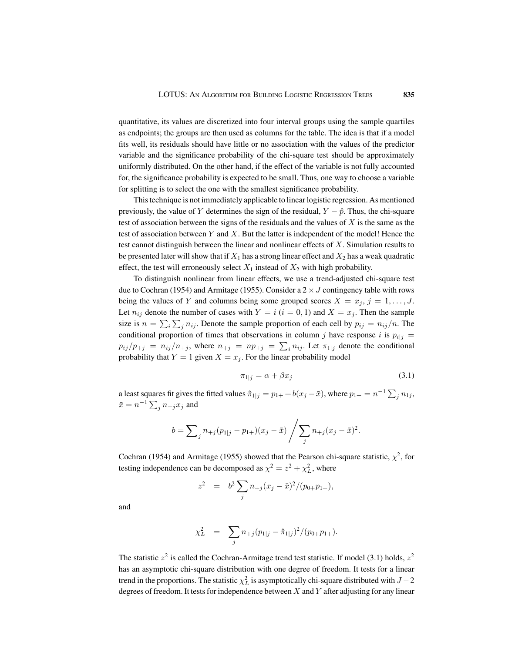quantitative, its values are discretized into four interval groups using the sample quartiles as endpoints; the groups are then used as columns for the table. The idea is that if a model fits well, its residuals should have little or no association with the values of the predictor variable and the significance probability of the chi-square test should be approximately uniformly distributed. On the other hand, if the effect of the variable is not fully accounted for, the significance probability is expected to be small. Thus, one way to choose a variable for splitting is to select the one with the smallest significance probability.

This technique is not immediately applicable to linear logistic regression. As mentioned previously, the value of Y determines the sign of the residual,  $Y - \hat{p}$ . Thus, the chi-square test of association between the signs of the residuals and the values of  $X$  is the same as the test of association between  $Y$  and  $X$ . But the latter is independent of the model! Hence the test cannot distinguish between the linear and nonlinear effects of X. Simulation results to be presented later will show that if  $X_1$  has a strong linear effect and  $X_2$  has a weak quadratic effect, the test will erroneously select  $X_1$  instead of  $X_2$  with high probability.

To distinguish nonlinear from linear effects, we use a trend-adjusted chi-square test due to Cochran (1954) and Armitage (1955). Consider a  $2 \times J$  contingency table with rows being the values of Y and columns being some grouped scores  $X = x_j$ ,  $j = 1, ..., J$ . Let  $n_{ij}$  denote the number of cases with  $Y = i$   $(i = 0, 1)$  and  $X = x_j$ . Then the sample size is  $n = \sum_i \sum_j n_{ij}$ . Denote the sample proportion of each cell by  $p_{ij} = n_{ij}/n$ . The conditional proportion of times that observations in column j have response i is  $p_{i|j}$  =  $p_{ij}/p_{+j} = n_{ij}/n_{+j}$ , where  $n_{+j} = np_{+j} = \sum_i n_{ij}$ . Let  $\pi_{1|j}$  denote the conditional probability that  $Y = 1$  given  $X = x_i$ . For the linear probability model

$$
\pi_{1|i} = \alpha + \beta x_i \tag{3.1}
$$

a least squares fit gives the fitted values  $\hat{\pi}_{1|j} = p_{1+} + b(x_j - \bar{x})$ , where  $p_{1+} = n^{-1} \sum_i n_{1j}$ ,  $\bar{x} = n^{-1} \sum_{i} n_{+i} x_i$  and

$$
b = \sum_{j} n_{+j} (p_{1|j} - p_{1+}) (x_j - \bar{x}) / \sum_{j} n_{+j} (x_j - \bar{x})^2.
$$

Cochran (1954) and Armitage (1955) showed that the Pearson chi-square statistic,  $\chi^2$ , for testing independence can be decomposed as  $\chi^2 = z^2 + \chi_L^2$ , where

$$
z^2 = b^2 \sum_j n_{+j}(x_j - \bar{x})^2 / (p_{0+}p_{1+}),
$$

and

$$
\chi^2_L = \sum_j n_{+j} (p_{1|j} - \hat{\pi}_{1|j})^2 / (p_{0+} p_{1+}).
$$

The statistic  $z^2$  is called the Cochran-Armitage trend test statistic. If model (3.1) holds,  $z^2$ has an asymptotic chi-square distribution with one degree of freedom. It tests for a linear trend in the proportions. The statistic  $\chi^2_L$  is asymptotically chi-square distributed with  $J-2$ degrees of freedom. It tests for independence between  $X$  and  $Y$  after adjusting for any linear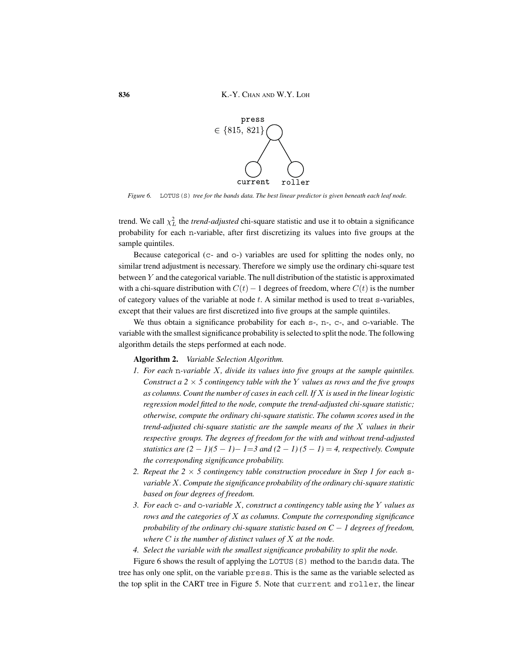

Figure 6. LOTUS (S) tree for the bands data. The best linear predictor is given beneath each leaf node.

trend. We call  $\chi_L^2$  the *trend-adjusted* chi-square statistic and use it to obtain a significance probability for each n-variable, after first discretizing its values into five groups at the sample quintiles.

Because categorical (c- and o-) variables are used for splitting the nodes only, no similar trend adjustment is necessary. Therefore we simply use the ordinary chi-square test between  $Y$  and the categorical variable. The null distribution of the statistic is approximated with a chi-square distribution with  $C(t) - 1$  degrees of freedom, where  $C(t)$  is the number of category values of the variable at node  $t$ . A similar method is used to treat  $s$ -variables, except that their values are first discretized into five groups at the sample quintiles.

We thus obtain a significance probability for each s-, n-, c-, and o-variable. The variable with the smallest significance probability is selected to split the node. The following algorithm details the steps performed at each node.

#### **Algorithm 2.** Variable Selection Algorithm.

- 1. For each n-variable  $X$ , divide its values into five groups at the sample quintiles. Construct a 2  $\times$  5 contingency table with the Y values as rows and the five groups as columns. Count the number of cases in each cell. If  $X$  is used in the linear logistic regression model fitted to the node, compute the trend-adjusted chi-square statistic; otherwise, compute the ordinary chi-square statistic. The column scores used in the trend-adjusted chi-square statistic are the sample means of the  $X$  values in their respective groups. The degrees of freedom for the with and without trend-adjusted statistics are  $(2 - 1)(5 - 1) - 1 = 3$  and  $(2 - 1)(5 - 1) = 4$ , respectively. Compute the corresponding significance probability.
- 2. Repeat the  $2 \times 5$  contingency table construction procedure in Step 1 for each svariable  $X$ . Compute the significance probability of the ordinary chi-square statistic based on four degrees of freedom.
- 3. For each  $c$  and  $o$ -variable  $X$ , construct a contingency table using the  $Y$  values as rows and the categories of  $X$  as columns. Compute the corresponding significance probability of the ordinary chi-square statistic based on  $C - 1$  degrees of freedom, where  $C$  is the number of distinct values of  $X$  at the node.
- 4. Select the variable with the smallest significance probability to split the node.

Figure 6 shows the result of applying the LOTUS (S) method to the bands data. The tree has only one split, on the variable press. This is the same as the variable selected as the top split in the CART tree in Figure 5. Note that current and roller, the linear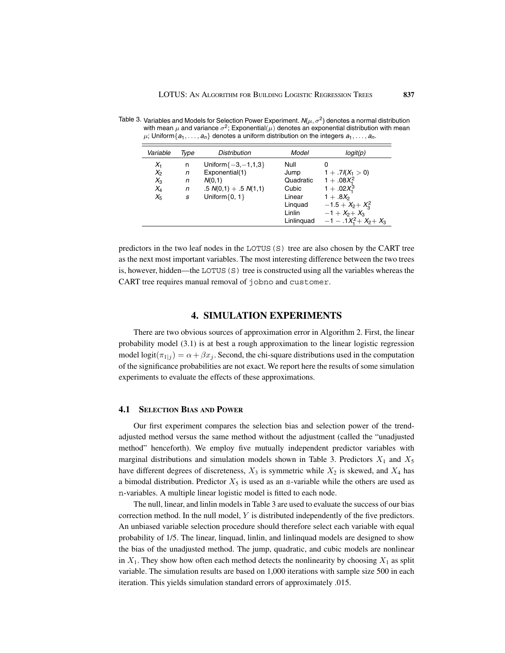Variable Type **Distribution** Model  $logit(p)$  $X_{1}$ Uniform $\{-3,-1,1,3\}$ Null  $\overline{0}$ n.  $X_2$  $1 + .7I(X_1 > 0)$ Exponential(1) Jump n  $1 + .08X<sup>2</sup>$  $X_3$  $\sqrt{n}$  $N(0,1)$ Quadratic  $1 + .02X_1^3$  $.5 N(0,1) + .5 N(1,1)$  $X_4$  $\overline{r}$ Cubic  $1 + .8X_2$  $X_5$ Uniform $\{0, 1\}$ Linear S  $-1.5 + X_2 + X_3^2$ Linguad  $-1 + X_2 + X_3$ Linlin  $-1 - 1X_1^2 + X_2 + X_3$ Linlinguad

Table 3. Variables and Models for Selection Power Experiment.  $N(\mu, \sigma^2)$  denotes a normal distribution with mean  $\mu$  and variance  $\sigma^2$ ; Exponential( $\mu$ ) denotes an exponential distribution with mean  $\mu$ ; Uniform $\{a_1, \ldots, a_n\}$  denotes a uniform distribution on the integers  $a_1, \ldots, a_n$ .

predictors in the two leaf nodes in the LOTUS (S) tree are also chosen by the CART tree as the next most important variables. The most interesting difference between the two trees is, however, hidden—the LOTUS (S) tree is constructed using all the variables whereas the CART tree requires manual removal of jobno and customer.

# **4. SIMULATION EXPERIMENTS**

There are two obvious sources of approximation error in Algorithm 2. First, the linear probability model (3.1) is at best a rough approximation to the linear logistic regression model logit( $\pi_{1|i}$ ) =  $\alpha + \beta x_i$ . Second, the chi-square distributions used in the computation of the significance probabilities are not exact. We report here the results of some simulation experiments to evaluate the effects of these approximations.

#### $4.1$ **SELECTION BIAS AND POWER**

Our first experiment compares the selection bias and selection power of the trendadjusted method versus the same method without the adjustment (called the "unadjusted method" henceforth). We employ five mutually independent predictor variables with marginal distributions and simulation models shown in Table 3. Predictors  $X_1$  and  $X_5$ have different degrees of discreteness,  $X_3$  is symmetric while  $X_2$  is skewed, and  $X_4$  has a bimodal distribution. Predictor  $X_5$  is used as an s-variable while the others are used as n-variables. A multiple linear logistic model is fitted to each node.

The null, linear, and linkin models in Table 3 are used to evaluate the success of our bias correction method. In the null model,  $Y$  is distributed independently of the five predictors. An unbiased variable selection procedure should therefore select each variable with equal probability of 1/5. The linear, linguad, linlin, and linlinguad models are designed to show the bias of the unadjusted method. The jump, quadratic, and cubic models are nonlinear in  $X_1$ . They show how often each method detects the nonlinearity by choosing  $X_1$  as split variable. The simulation results are based on 1,000 iterations with sample size 500 in each iteration. This yields simulation standard errors of approximately .015.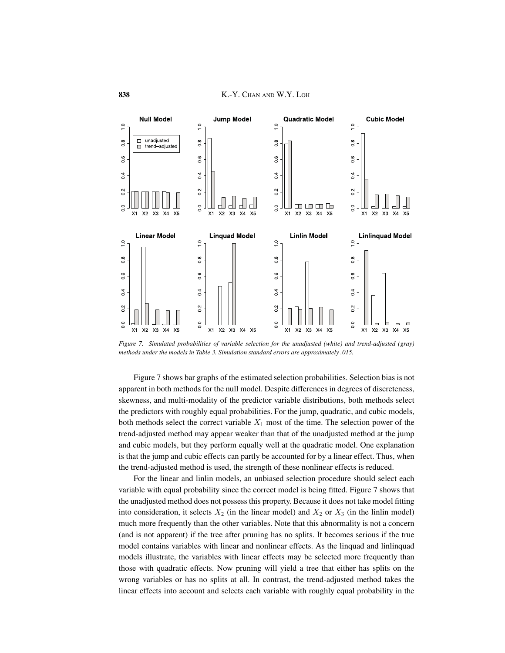

Figure 7. Simulated probabilities of variable selection for the unadjusted (white) and trend-adjusted (gray) methods under the models in Table 3. Simulation standard errors are approximately 0.015.

Figure 7 shows bar graphs of the estimated selection probabilities. Selection bias is not apparent in both methods for the null model. Despite differences in degrees of discreteness, skewness, and multi-modality of the predictor variable distributions, both methods select the predictors with roughly equal probabilities. For the jump, quadratic, and cubic models, both methods select the correct variable  $X_1$  most of the time. The selection power of the trend-adjusted method may appear weaker than that of the unadjusted method at the jump and cubic models, but they perform equally well at the quadratic model. One explanation is that the jump and cubic effects can partly be accounted for by a linear effect. Thus, when the trend-adjusted method is used, the strength of these nonlinear effects is reduced.

For the linear and linlin models, an unbiased selection procedure should select each variable with equal probability since the correct model is being fitted. Figure 7 shows that the unadjusted method does not possess this property. Because it does not take model fitting into consideration, it selects  $X_2$  (in the linear model) and  $X_2$  or  $X_3$  (in the linlin model) much more frequently than the other variables. Note that this abnormality is not a concern (and is not apparent) if the tree after pruning has no splits. It becomes serious if the true model contains variables with linear and nonlinear effects. As the linguad and linlinguad models illustrate, the variables with linear effects may be selected more frequently than those with quadratic effects. Now pruning will yield a tree that either has splits on the wrong variables or has no splits at all. In contrast, the trend-adjusted method takes the linear effects into account and selects each variable with roughly equal probability in the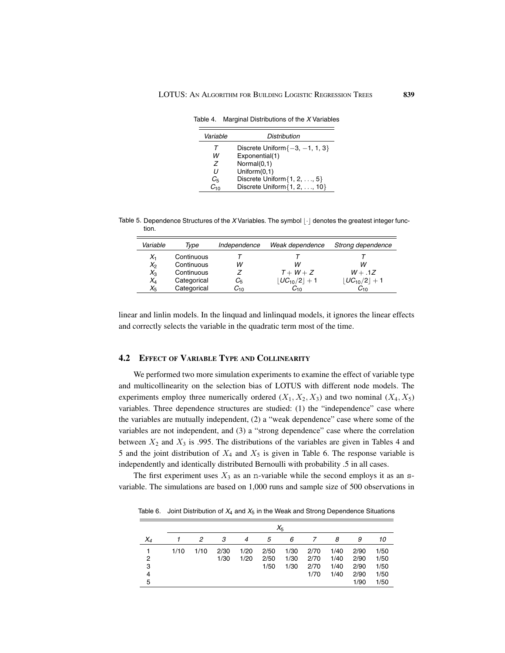| Variable       | Distribution                        |
|----------------|-------------------------------------|
|                | Discrete Uniform $\{-3, -1, 1, 3\}$ |
| w              | Exponential(1)                      |
| $\overline{z}$ | Normal(0,1)                         |
| IJ             | Uniform $(0,1)$                     |
| $C_{5}$        | Discrete Uniform {1, 2, , 5}        |
|                | Discrete Uniform {1, 2, , 10}       |

Table 4. Marginal Distributions of the X Variables

Table 5. Dependence Structures of the X Variables. The symbol  $\lfloor \cdot \rfloor$  denotes the greatest integer function

| Variable | Tvpe        | Independence | Weak dependence   | Strong dependence              |
|----------|-------------|--------------|-------------------|--------------------------------|
| $X_1$    | Continuous  |              |                   |                                |
| $X_{2}$  | Continuous  | w            | w                 | w                              |
| $X_3$    | Continuous  |              | $T+W+Z$           | $W + .1Z$                      |
| $X_4$    | Categorical | С5           | $ UC_{10}/2  + 1$ | $\lfloor UC_{10}/2\rfloor + 1$ |
| $X_5$    | Categorical | $C_{10}$     | $C_{10}$          | $C_{10}$                       |

linear and linlin models. In the linguad and linlinguad models, it ignores the linear effects and correctly selects the variable in the quadratic term most of the time.

#### $4.2$ **EFFECT OF VARIABLE TYPE AND COLLINEARITY**

We performed two more simulation experiments to examine the effect of variable type and multicollinearity on the selection bias of LOTUS with different node models. The experiments employ three numerically ordered  $(X_1, X_2, X_3)$  and two nominal  $(X_4, X_5)$ variables. Three dependence structures are studied: (1) the "independence" case where the variables are mutually independent,  $(2)$  a "weak dependence" case where some of the variables are not independent, and (3) a "strong dependence" case where the correlation between  $X_2$  and  $X_3$  is .995. The distributions of the variables are given in Tables 4 and 5 and the joint distribution of  $X_4$  and  $X_5$  is given in Table 6. The response variable is independently and identically distributed Bernoulli with probability .5 in all cases.

The first experiment uses  $X_3$  as an n-variable while the second employs it as an svariable. The simulations are based on 1,000 runs and sample size of 500 observations in

|                |      | $X_{5}$ |      |      |      |      |      |      |      |      |  |
|----------------|------|---------|------|------|------|------|------|------|------|------|--|
| $X_4$          |      | 2       | 3    | 4    | 5    | 6    |      | 8    | 9    | 10   |  |
|                | 1/10 | 1/10    | 2/30 | 1/20 | 2/50 | 1/30 | 2/70 | 1/40 | 2/90 | 1/50 |  |
| $\overline{2}$ |      |         | 1/30 | 1/20 | 2/50 | 1/30 | 2/70 | 1/40 | 2/90 | 1/50 |  |
| 3              |      |         |      |      | 1/50 | 1/30 | 2/70 | 1/40 | 2/90 | 1/50 |  |
| 4              |      |         |      |      |      |      | 1/70 | 1/40 | 2/90 | 1/50 |  |
| 5              |      |         |      |      |      |      |      |      | 1/90 | 1/50 |  |

Table 6. Joint Distribution of  $X_4$  and  $X_5$  in the Weak and Strong Dependence Situations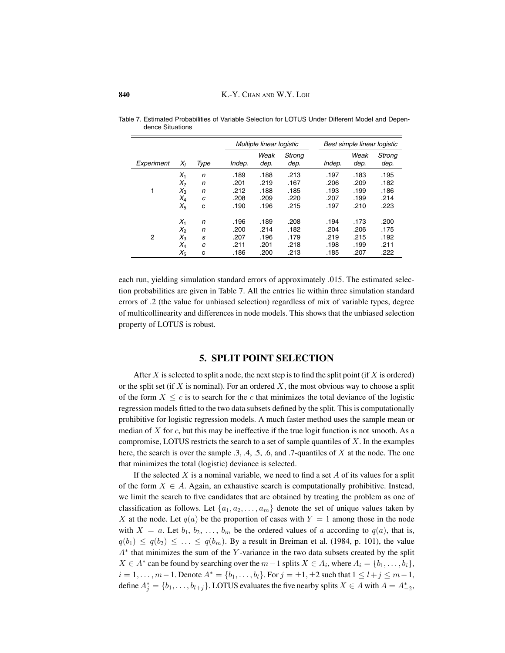|            |             |      |        | Multiple linear logistic |                |        | Best simple linear logistic |                       |  |  |
|------------|-------------|------|--------|--------------------------|----------------|--------|-----------------------------|-----------------------|--|--|
| Experiment | $X_i$       | Type | Indep. | Weak<br>dep.             | Strong<br>dep. | Indep. | Weak<br>dep.                | <b>Strong</b><br>dep. |  |  |
|            | $X_1$       | n    | .189   | .188                     | .213           | .197   | .183                        | .195                  |  |  |
|            | $X_2$       | n    | .201   | .219                     | .167           | .206   | .209                        | .182                  |  |  |
|            | $X_3$       | n    | .212   | .188                     | .185           | .193   | .199                        | .186                  |  |  |
|            | $\chi_{_4}$ | C    | .208   | .209                     | .220           | .207   | .199                        | .214                  |  |  |
|            | $X_{5}$     | c    | .190   | .196                     | .215           | .197   | .210                        | .223                  |  |  |
|            | $X_1$       | n    | .196   | .189                     | .208           | .194   | .173                        | .200                  |  |  |
|            | $X_2$       | n    | .200   | .214                     | .182           | .204   | .206                        | .175                  |  |  |
| 2          | $X_3$       | S    | .207   | .196                     | .179           | .219   | .215                        | .192                  |  |  |
|            | $X_4$       | C    | .211   | .201                     | .218           | .198   | .199                        | .211                  |  |  |
|            | $X_{5}$     | c    | .186   | .200                     | .213           | .185   | .207                        | .222                  |  |  |

Table 7. Estimated Probabilities of Variable Selection for LOTUS Under Different Model and Dependence Situations

each run, yielding simulation standard errors of approximately .015. The estimated selection probabilities are given in Table 7. All the entries lie within three simulation standard errors of .2 (the value for unbiased selection) regardless of mix of variable types, degree of multicollinearity and differences in node models. This shows that the unbiased selection property of LOTUS is robust.

### **5. SPLIT POINT SELECTION**

After X is selected to split a node, the next step is to find the split point (if X is ordered) or the split set (if X is nominal). For an ordered X, the most obvious way to choose a split of the form  $X \leq c$  is to search for the c that minimizes the total deviance of the logistic regression models fitted to the two data subsets defined by the split. This is computationally prohibitive for logistic regression models. A much faster method uses the sample mean or median of  $X$  for  $c$ , but this may be ineffective if the true logit function is not smooth. As a compromise, LOTUS restricts the search to a set of sample quantiles of  $X$ . In the examples here, the search is over the sample  $.3, .4, .5, .6,$  and  $.7$ -quantiles of X at the node. The one that minimizes the total (logistic) deviance is selected.

If the selected  $X$  is a nominal variable, we need to find a set  $A$  of its values for a split of the form  $X \in A$ . Again, an exhaustive search is computationally prohibitive. Instead, we limit the search to five candidates that are obtained by treating the problem as one of classification as follows. Let  $\{a_1, a_2, \ldots, a_m\}$  denote the set of unique values taken by X at the node. Let  $q(a)$  be the proportion of cases with  $Y = 1$  among those in the node with  $X = a$ . Let  $b_1, b_2, ..., b_m$  be the ordered values of a according to  $q(a)$ , that is,  $q(b_1) \leq q(b_2) \leq \ldots \leq q(b_m)$ . By a result in Breiman et al. (1984, p. 101), the value  $A^*$  that minimizes the sum of the Y-variance in the two data subsets created by the split  $X \in A^*$  can be found by searching over the  $m-1$  splits  $X \in A_i$ , where  $A_i = \{b_1, \ldots, b_i\}$ ,  $i = 1, \ldots, m-1$ . Denote  $A^* = \{b_1, \ldots, b_l\}$ . For  $j = \pm 1, \pm 2$  such that  $1 \leq l + j \leq m-1$ , define  $A_i^* = \{b_1, \ldots, b_{l+i}\}\$ . LOTUS evaluates the five nearby splits  $X \in A$  with  $A = A_{-2}^*$ ,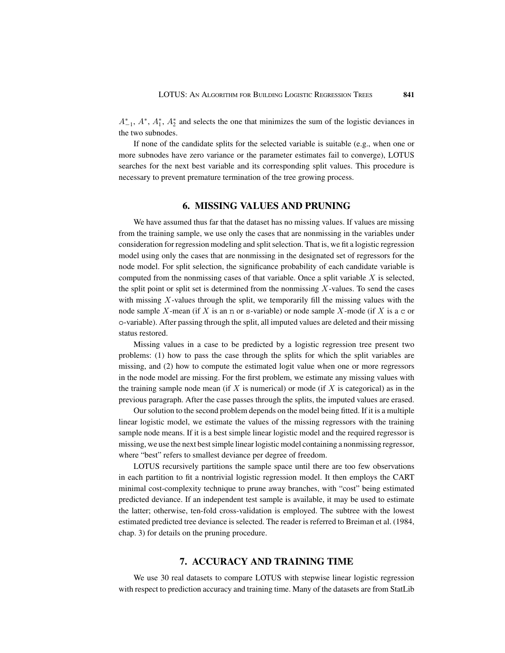$A_{-1}^*$ ,  $A^*$ ,  $A_1^*$ ,  $A_2^*$  and selects the one that minimizes the sum of the logistic deviances in the two subnodes.

If none of the candidate splits for the selected variable is suitable (e.g., when one or more subnodes have zero variance or the parameter estimates fail to converge), LOTUS searches for the next best variable and its corresponding split values. This procedure is necessary to prevent premature termination of the tree growing process.

#### **6. MISSING VALUES AND PRUNING**

We have assumed thus far that the dataset has no missing values. If values are missing from the training sample, we use only the cases that are nonmissing in the variables under consideration for regression modeling and split selection. That is, we fit a logistic regression model using only the cases that are nonmissing in the designated set of regressors for the node model. For split selection, the significance probability of each candidate variable is computed from the nonmissing cases of that variable. Once a split variable  $X$  is selected, the split point or split set is determined from the nonmissing  $X$ -values. To send the cases with missing  $X$ -values through the split, we temporarily fill the missing values with the node sample X-mean (if X is an n or s-variable) or node sample X-mode (if X is a c or o-variable). After passing through the split, all imputed values are deleted and their missing status restored.

Missing values in a case to be predicted by a logistic regression tree present two problems: (1) how to pass the case through the splits for which the split variables are missing, and (2) how to compute the estimated logit value when one or more regressors in the node model are missing. For the first problem, we estimate any missing values with the training sample node mean (if  $X$  is numerical) or mode (if  $X$  is categorical) as in the previous paragraph. After the case passes through the splits, the imputed values are erased.

Our solution to the second problem depends on the model being fitted. If it is a multiple linear logistic model, we estimate the values of the missing regressors with the training sample node means. If it is a best simple linear logistic model and the required regressor is missing, we use the next best simple linear logistic model containing a nonmissing regressor, where "best" refers to smallest deviance per degree of freedom.

LOTUS recursively partitions the sample space until there are too few observations in each partition to fit a nontrivial logistic regression model. It then employs the CART minimal cost-complexity technique to prune away branches, with "cost" being estimated predicted deviance. If an independent test sample is available, it may be used to estimate the latter; otherwise, ten-fold cross-validation is employed. The subtree with the lowest estimated predicted tree deviance is selected. The reader is referred to Breiman et al. (1984, chap. 3) for details on the pruning procedure.

#### 7. ACCURACY AND TRAINING TIME

We use 30 real datasets to compare LOTUS with stepwise linear logistic regression with respect to prediction accuracy and training time. Many of the datasets are from StatLib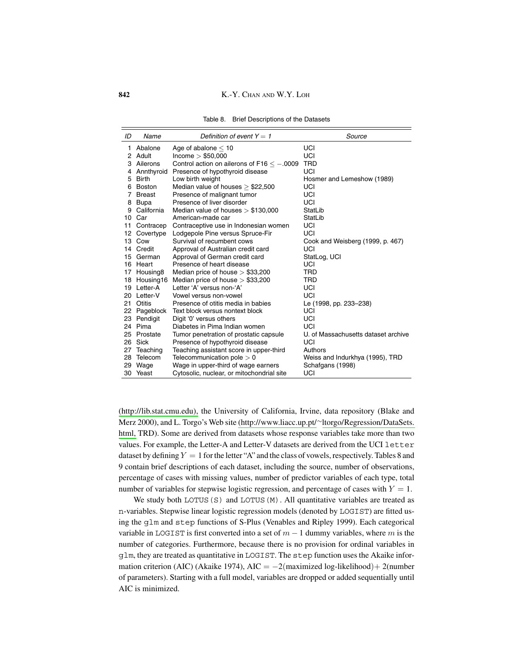| ID              | Name          | Definition of event $Y = 1$                   | Source                              |
|-----------------|---------------|-----------------------------------------------|-------------------------------------|
| 1               | Abalone       | Age of abalone $< 10$                         | UCI                                 |
| 2               | Adult         | Income $>$ \$50,000                           | UCI                                 |
| 3               | Ailerons      | Control action on ailerons of $F16 < -0.0009$ | <b>TRD</b>                          |
| 4               | Annthyroid    | Presence of hypothyroid disease               | UCI                                 |
| 5               | <b>Birth</b>  | Low birth weight                              | Hosmer and Lemeshow (1989)          |
| 6               | Boston        | Median value of houses $> $22,500$            | UCI                                 |
| 7               | <b>Breast</b> | Presence of malignant tumor                   | UCI                                 |
| 8               | <b>Bupa</b>   | Presence of liver disorder                    | UCI                                 |
| 9               | California    | Median value of houses $> $130,000$           | StatLib                             |
| 10 <sup>1</sup> | Car           | American-made car                             | StatLib                             |
| 11              | Contracep     | Contraceptive use in Indonesian women         | UCI                                 |
| 12              | Covertype     | Lodgepole Pine versus Spruce-Fir              | UCI                                 |
| 13              | Cow           | Survival of recumbent cows                    | Cook and Weisberg (1999, p. 467)    |
| 14              | Credit        | Approval of Australian credit card            | UCI                                 |
| 15              | German        | Approval of German credit card                | StatLog, UCI                        |
|                 | 16 Heart      | Presence of heart disease                     | UCI                                 |
| 17              | Housing8      | Median price of house $> $33,200$             | <b>TRD</b>                          |
| 18              | Housing16     | Median price of house $> $33,200$             | TRD                                 |
| 19              | Letter-A      | Letter 'A' versus non-'A'                     | UCI                                 |
| 20              | Letter-V      | Vowel versus non-vowel                        | UCI                                 |
| 21              | Otitis        | Presence of otitis media in babies            | Le (1998, pp. 233–238)              |
| 22              | Pageblock     | Text block versus nontext block               | UCI                                 |
| 23              | Pendigit      | Digit '0' versus others                       | UCI                                 |
| 24              | Pima          | Diabetes in Pima Indian women                 | UCI                                 |
| 25              | Prostate      | Tumor penetration of prostatic capsule        | U. of Massachusetts dataset archive |
| 26              | <b>Sick</b>   | Presence of hypothyroid disease               | UCI                                 |
| 27              | Teaching      | Teaching assistant score in upper-third       | Authors                             |
| 28              | Telecom       | Telecommunication pole $>0$                   | Weiss and Indurkhya (1995), TRD     |
| 29              | Wage          | Wage in upper-third of wage earners           | Schafgans (1998)                    |
| 30              | Yeast         | Cytosolic, nuclear, or mitochondrial site     | UCI                                 |

Table 8. Brief Descriptions of the Datasets

(http://lib.stat.cmu.edu), the University of California, Irvine, data repository (Blake and Merz 2000), and L. Torgo's Web site (http://www.liacc.up.pt/~ltorgo/Regression/DataSets. html, TRD). Some are derived from datasets whose response variables take more than two values. For example, the Letter-A and Letter-V datasets are derived from the UCI letter dataset by defining  $Y = 1$  for the letter "A" and the class of vowels, respectively. Tables 8 and 9 contain brief descriptions of each dataset, including the source, number of observations, percentage of cases with missing values, number of predictor variables of each type, total number of variables for stepwise logistic regression, and percentage of cases with  $Y = 1$ .

We study both LOTUS (S) and LOTUS (M). All quantitative variables are treated as n-variables. Stepwise linear logistic regression models (denoted by LOGIST) are fitted using the q1m and step functions of S-Plus (Venables and Ripley 1999). Each categorical variable in LOGIST is first converted into a set of  $m-1$  dummy variables, where m is the number of categories. Furthermore, because there is no provision for ordinal variables in  $q\ln$ , they are treated as quantitative in LOGIST. The step function uses the Akaike information criterion (AIC) (Akaike 1974), AIC =  $-2$ (maximized log-likelihood) + 2(number of parameters). Starting with a full model, variables are dropped or added sequentially until AIC is minimized.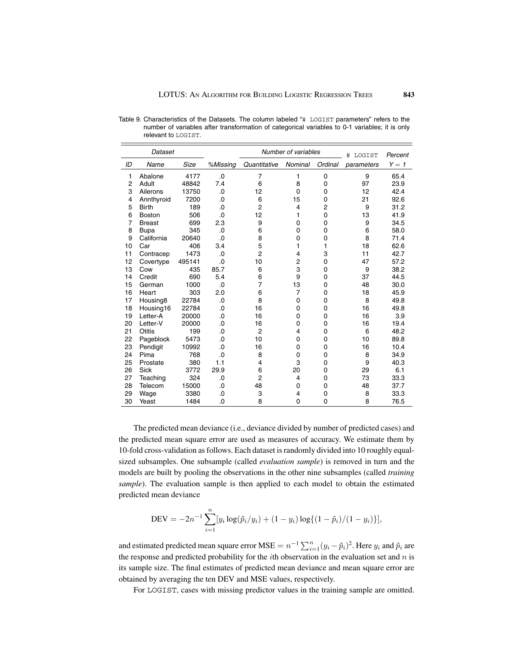Table 9. Characteristics of the Datasets. The column labeled "# LOGIST parameters" refers to the number of variables after transformation of categorical variables to 0-1 variables; it is only relevant to LOGIST.

| Dataset        |               |        |          |                | Number of variables | #<br>LOGIST    | Percent    |         |
|----------------|---------------|--------|----------|----------------|---------------------|----------------|------------|---------|
| ID             | Name          | Size   | %Missing | Quantitative   | Nominal             | Ordinal        | parameters | $Y = 1$ |
| 1              | Abalone       | 4177   | .0       | $\overline{7}$ | 1                   | 0              | 9          | 65.4    |
| $\overline{2}$ | Adult         | 48842  | 7.4      | 6              | 8                   | 0              | 97         | 23.9    |
| 3              | Ailerons      | 13750  | .0       | 12             | 0                   | 0              | 12         | 42.4    |
| 4              | Annthyroid    | 7200   | .0       | 6              | 15                  | 0              | 21         | 92.6    |
| 5              | <b>Birth</b>  | 189    | .0       | $\overline{2}$ | 4                   | $\overline{2}$ | 9          | 31.2    |
| 6              | <b>Boston</b> | 506    | .0       | 12             | 1                   | 0              | 13         | 41.9    |
| $\overline{7}$ | <b>Breast</b> | 699    | 2.3      | 9              | 0                   | 0              | 9          | 34.5    |
| 8              | <b>Bupa</b>   | 345    | .0       | 6              | 0                   | 0              | 6          | 58.0    |
| 9              | California    | 20640  | $\Omega$ | 8              | 0                   | 0              | 8          | 71.4    |
| 10             | Car           | 406    | 3.4      | 5              | 1                   | 1              | 18         | 62.6    |
| 11             | Contracep     | 1473   | .0       | $\overline{2}$ | 4                   | 3              | 11         | 42.7    |
| 12             | Covertype     | 495141 | .0       | 10             | 2                   | 0              | 47         | 57.2    |
| 13             | Cow           | 435    | 85.7     | 6              | 3                   | 0              | 9          | 38.2    |
| 14             | Credit        | 690    | 5.4      | 6              | 9                   | 0              | 37         | 44.5    |
| 15             | German        | 1000   | .0       | 7              | 13                  | 0              | 48         | 30.0    |
| 16             | Heart         | 303    | 2.0      | 6              | 7                   | 0              | 18         | 45.9    |
| 17             | Housing8      | 22784  | .0       | 8              | 0                   | 0              | 8          | 49.8    |
| 18             | Housing16     | 22784  | .0       | 16             | $\Omega$            | 0              | 16         | 49.8    |
| 19             | Letter-A      | 20000  | .0       | 16             | 0                   | 0              | 16         | 3.9     |
| 20             | Letter-V      | 20000  | .0       | 16             | $\Omega$            | 0              | 16         | 19.4    |
| 21             | Otitis        | 199    | .0       | $\overline{2}$ | 4                   | 0              | 6          | 48.2    |
| 22             | Pageblock     | 5473   | .0       | 10             | 0                   | 0              | 10         | 89.8    |
| 23             | Pendigit      | 10992  | .0       | 16             | 0                   | 0              | 16         | 10.4    |
| 24             | Pima          | 768    | .0       | 8              | $\Omega$            | 0              | 8          | 34.9    |
| 25             | Prostate      | 380    | 1.1      | 4              | 3                   | 0              | 9          | 40.3    |
| 26             | Sick          | 3772   | 29.9     | 6              | 20                  | 0              | 29         | 6.1     |
| 27             | Teaching      | 324    | .0       | $\overline{2}$ | 4                   | 0              | 73         | 33.3    |
| 28             | Telecom       | 15000  | .0       | 48             | $\Omega$            | 0              | 48         | 37.7    |
| 29             | Wage          | 3380   | 0.       | 3              | 4                   | 0              | 8          | 33.3    |
| 30             | Yeast         | 1484   | .0       | 8              | $\mathbf 0$         | 0              | 8          | 76.5    |

The predicted mean deviance (i.e., deviance divided by number of predicted cases) and the predicted mean square error are used as measures of accuracy. We estimate them by 10-fold cross-validation as follows. Each dataset is randomly divided into 10 roughly equalsized subsamples. One subsample (called *evaluation sample*) is removed in turn and the models are built by pooling the observations in the other nine subsamples (called *training* sample). The evaluation sample is then applied to each model to obtain the estimated predicted mean deviance

$$
DEV = -2n^{-1} \sum_{i=1}^{n} [y_i \log(\hat{p}_i/y_i) + (1 - y_i) \log\{(1 - \hat{p}_i)/(1 - y_i)\}],
$$

and estimated predicted mean square error MSE =  $n^{-1} \sum_{i=1}^{n} (y_i - \hat{p}_i)^2$ . Here  $y_i$  and  $\hat{p}_i$  are the response and predicted probability for the *i*th observation in the evaluation set and  $n$  is its sample size. The final estimates of predicted mean deviance and mean square error are obtained by averaging the ten DEV and MSE values, respectively.

For LOGIST, cases with missing predictor values in the training sample are omitted.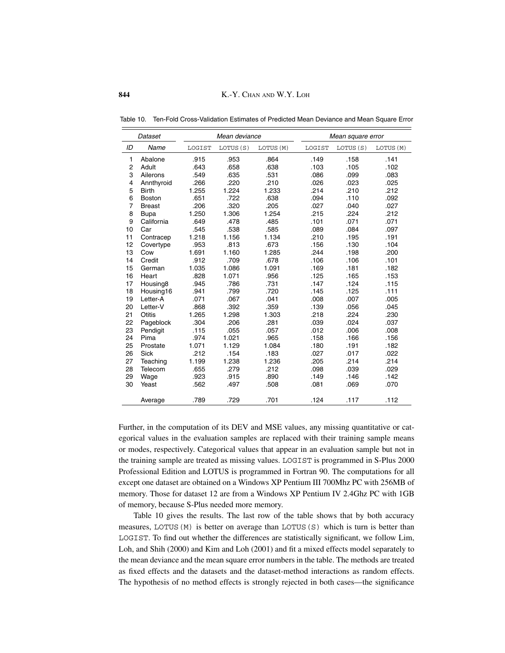| Dataset        |               |        | Mean deviance |           |        | Mean square error |           |  |  |
|----------------|---------------|--------|---------------|-----------|--------|-------------------|-----------|--|--|
| ID             | Name          | LOGIST | LOTUS (S)     | LOTUS (M) | LOGIST | LOTUS (S)         | LOTUS (M) |  |  |
| 1              | Abalone       | .915   | .953          | .864      | .149   | .158              | .141      |  |  |
| $\overline{c}$ | Adult         | .643   | .658          | .638      | .103   | .105              | .102      |  |  |
| 3              | Ailerons      | .549   | .635          | .531      | .086   | .099              | .083      |  |  |
| 4              | Annthyroid    | .266   | .220          | .210      | .026   | .023              | .025      |  |  |
| 5              | <b>Birth</b>  | 1.255  | 1.224         | 1.233     | .214   | .210              | .212      |  |  |
| 6              | <b>Boston</b> | .651   | .722          | .638      | .094   | .110              | .092      |  |  |
| $\overline{7}$ | <b>Breast</b> | .206   | .320          | .205      | .027   | .040              | .027      |  |  |
| 8              | <b>Bupa</b>   | 1.250  | 1.306         | 1.254     | .215   | .224              | .212      |  |  |
| 9              | California    | .649   | .478          | .485      | .101   | .071              | .071      |  |  |
| 10             | Car           | .545   | .538          | .585      | .089   | .084              | .097      |  |  |
| 11             | Contracep     | 1.218  | 1.156         | 1.134     | .210   | .195              | .191      |  |  |
| 12             | Covertype     | .953   | .813          | .673      | .156   | .130              | .104      |  |  |
| 13             | Cow           | 1.691  | 1.160         | 1.285     | .244   | .198              | .200      |  |  |
| 14             | Credit        | .912   | .709          | .678      | .106   | .106              | .101      |  |  |
| 15             | German        | 1.035  | 1.086         | 1.091     | .169   | .181              | .182      |  |  |
| 16             | Heart         | .828   | 1.071         | .956      | .125   | .165              | .153      |  |  |
| 17             | Housing8      | .945   | .786          | .731      | .147   | .124              | .115      |  |  |
| 18             | Housing16     | .941   | .799          | .720      | .145   | .125              | .111      |  |  |
| 19             | Letter-A      | .071   | .067          | .041      | .008   | .007              | .005      |  |  |
| 20             | Letter-V      | .868   | .392          | .359      | .139   | .056              | .045      |  |  |
| 21             | Otitis        | 1.265  | 1.298         | 1.303     | .218   | .224              | .230      |  |  |
| 22             | Pageblock     | .304   | .206          | .281      | .039   | .024              | .037      |  |  |
| 23             | Pendigit      | .115   | .055          | .057      | .012   | .006              | .008      |  |  |
| 24             | Pima          | .974   | 1.021         | .965      | .158   | .166              | .156      |  |  |
| 25             | Prostate      | 1.071  | 1.129         | 1.084     | .180   | .191              | .182      |  |  |
| 26             | <b>Sick</b>   | .212   | .154          | .183      | .027   | .017              | .022      |  |  |
| 27             | Teaching      | 1.199  | 1.238         | 1.236     | .205   | .214              | .214      |  |  |
| 28             | Telecom       | .655   | .279          | .212      | .098   | .039              | .029      |  |  |
| 29             | Wage          | .923   | .915          | .890      | .149   | .146              | .142      |  |  |
| 30             | Yeast         | .562   | .497          | .508      | .081   | .069              | .070      |  |  |
|                | Average       | .789   | .729          | .701      | .124   | .117              | .112      |  |  |

Table 10. Ten-Fold Cross-Validation Estimates of Predicted Mean Deviance and Mean Square Error

Further, in the computation of its DEV and MSE values, any missing quantitative or categorical values in the evaluation samples are replaced with their training sample means or modes, respectively. Categorical values that appear in an evaluation sample but not in the training sample are treated as missing values. LOGIST is programmed in S-Plus 2000 Professional Edition and LOTUS is programmed in Fortran 90. The computations for all except one dataset are obtained on a Windows XP Pentium III 700Mhz PC with 256MB of memory. Those for dataset 12 are from a Windows XP Pentium IV 2.4Ghz PC with 1GB of memory, because S-Plus needed more memory.

Table 10 gives the results. The last row of the table shows that by both accuracy measures, LOTUS (M) is better on average than LOTUS (S) which is turn is better than LOGIST. To find out whether the differences are statistically significant, we follow Lim, Loh, and Shih (2000) and Kim and Loh (2001) and fit a mixed effects model separately to the mean deviance and the mean square error numbers in the table. The methods are treated as fixed effects and the datasets and the dataset-method interactions as random effects. The hypothesis of no method effects is strongly rejected in both cases—the significance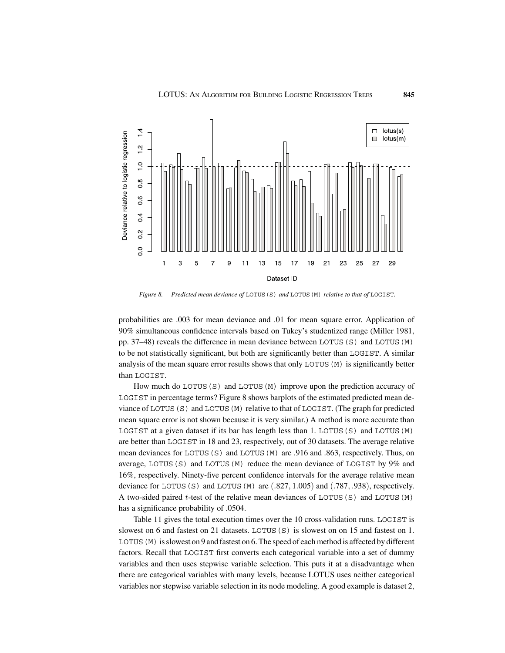

Figure 8. Predicted mean deviance of LOTUS (S) and LOTUS (M) relative to that of LOGIST.

probabilities are .003 for mean deviance and .01 for mean square error. Application of 90% simultaneous confidence intervals based on Tukey's studentized range (Miller 1981, pp. 37–48) reveals the difference in mean deviance between LOTUS  $(S)$  and LOTUS  $(M)$ to be not statistically significant, but both are significantly better than LOGIST. A similar analysis of the mean square error results shows that only LOTUS (M) is significantly better than LOGIST.

How much do LOTUS  $(S)$  and LOTUS  $(M)$  improve upon the prediction accuracy of LOGIST in percentage terms? Figure 8 shows barplots of the estimated predicted mean deviance of LOTUS (S) and LOTUS (M) relative to that of LOGIST. (The graph for predicted mean square error is not shown because it is very similar.) A method is more accurate than LOGIST at a given dataset if its bar has length less than 1. LOTUS (S) and LOTUS (M) are better than LOGIST in 18 and 23, respectively, out of 30 datasets. The average relative mean deviances for LOTUS (S) and LOTUS (M) are .916 and .863, respectively. Thus, on average, LOTUS  $(S)$  and LOTUS  $(M)$  reduce the mean deviance of LOGIST by 9% and 16%, respectively. Ninety-five percent confidence intervals for the average relative mean deviance for LOTUS (S) and LOTUS (M) are  $(.827, 1.005)$  and  $(.787, .938)$ , respectively. A two-sided paired t-test of the relative mean deviances of LOTUS (S) and LOTUS (M) has a significance probability of .0504.

Table 11 gives the total execution times over the 10 cross-validation runs. LOGIST is slowest on 6 and fastest on 21 datasets. LOTUS (S) is slowest on on 15 and fastest on 1. LOTUS (M) is slowest on 9 and fastest on 6. The speed of each method is affected by different factors. Recall that LOGIST first converts each categorical variable into a set of dummy variables and then uses stepwise variable selection. This puts it at a disadvantage when there are categorical variables with many levels, because LOTUS uses neither categorical variables nor stepwise variable selection in its node modeling. A good example is dataset 2,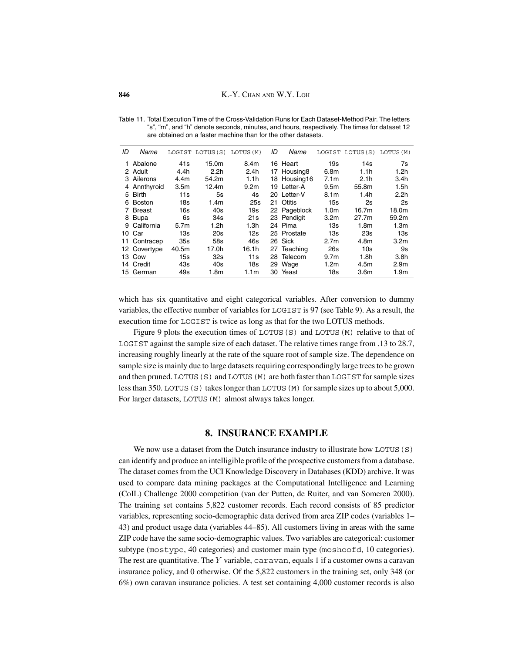Table 11. Total Execution Time of the Cross-Validation Runs for Each Dataset-Method Pair. The letters "s", "m", and "h" denote seconds, minutes, and hours, respectively. The times for dataset 12 are obtained on a faster machine than for the other datasets.

| ID | Name         |                  | LOGIST LOTUS (S) | LOTUS (M)         | ID | Name         |                  | LOGIST LOTUS (S)  | LOTUS (M)        |
|----|--------------|------------------|------------------|-------------------|----|--------------|------------------|-------------------|------------------|
|    | Abalone      | 41s              | 15.0m            | 8.4m              |    | 16 Heart     | 19s              | 14s               | 7s               |
|    | 2 Adult      | 4.4h             | 2.2 <sub>h</sub> | 2.4h              |    | 17 Housing8  | 6.8 <sub>m</sub> | 1.1 <sub>h</sub>  | 1.2 <sub>h</sub> |
|    | 3 Ailerons   | 4.4m             | 54.2m            | 1.1 <sub>h</sub>  |    | 18 Housing16 | 7.1 <sub>m</sub> | 2.1h              | 3.4 <sub>h</sub> |
|    | 4 Annthyroid | 3.5 <sub>m</sub> | 12.4m            | 9.2 <sub>m</sub>  |    | 19 Letter-A  | 9.5 <sub>m</sub> | 55.8m             | 1.5h             |
| 5. | <b>Birth</b> | 11s              | 5s               | 4s                |    | 20 Letter-V  | 8.1 <sub>m</sub> | 1.4 <sub>h</sub>  | 2.2 <sub>h</sub> |
| 6. | Boston       | 18s              | 1.4 <sub>m</sub> | 25s               |    | 21 Otitis    | 15s              | 2s                | 2s               |
|    | 7 Breast     | 16s              | 40s              | 19s               |    | 22 Pageblock | 1.0 <sub>m</sub> | 16.7 <sub>m</sub> | 18.0m            |
| 8  | Bupa         | 6s               | 34s              | 21s               |    | 23 Pendigit  | 3.2 <sub>m</sub> | 27.7m             | 59.2m            |
|    | 9 California | 5.7 <sub>m</sub> | 1.2 <sub>h</sub> | 1.3h              |    | 24 Pima      | 13s              | 1.8 <sub>m</sub>  | 1.3 <sub>m</sub> |
|    | 10 Car       | 13s              | 20s              | 12s               |    | 25 Prostate  | 13s              | 23s               | 13s              |
| 11 | Contracep    | 35s              | 58s              | 46s               |    | 26 Sick      | 2.7 <sub>m</sub> | 4.8m              | 3.2 <sub>m</sub> |
|    | 12 Covertype | 40.5m            | 17.0h            | 16.1 <sub>h</sub> |    | 27 Teaching  | 26s              | 10 <sub>s</sub>   | 9s               |
|    | 13 Cow       | 15s              | 32s              | 11s               |    | 28 Telecom   | 9.7 <sub>m</sub> | 1.8 <sub>h</sub>  | 3.8 <sub>h</sub> |
| 14 | Credit       | 43s              | 40s              | 18s               |    | 29 Wage      | 1.2 <sub>m</sub> | 4.5 <sub>m</sub>  | 2.9 <sub>m</sub> |
| 15 | German       | 49s              | 1.8m             | 1.1 <sub>m</sub>  |    | 30 Yeast     | 18s              | 3.6 <sub>m</sub>  | 1.9 <sub>m</sub> |

which has six quantitative and eight categorical variables. After conversion to dummy variables. the effective number of variables for LOGIST is 97 (see Table 9). As a result, the execution time for LOGIST is twice as long as that for the two LOTUS methods.

Figure 9 plots the execution times of LOTUS  $(S)$  and LOTUS  $(M)$  relative to that of LOGIST against the sample size of each dataset. The relative times range from .13 to 28.7, increasing roughly linearly at the rate of the square root of sample size. The dependence on sample size is mainly due to large datasets requiring correspondingly large trees to be grown and then pruned. LOTUS (S) and LOTUS (M) are both faster than LOGIST for sample sizes less than 350. LOTUS (S) takes longer than LOTUS (M) for sample sizes up to about  $5,000$ . For larger datasets, LOTUS (M) almost always takes longer.

# **8. INSURANCE EXAMPLE**

We now use a dataset from the Dutch insurance industry to illustrate how LOTUS (S) can identify and produce an intelligible profile of the prospective customers from a database. The dataset comes from the UCI Knowledge Discovery in Databases (KDD) archive. It was used to compare data mining packages at the Computational Intelligence and Learning (CoIL) Challenge 2000 competition (van der Putten, de Ruiter, and van Someren 2000). The training set contains 5,822 customer records. Each record consists of 85 predictor variables, representing socio-demographic data derived from area ZIP codes (variables 1– 43) and product usage data (variables 44–85). All customers living in areas with the same ZIP code have the same socio-demographic values. Two variables are categorical: customer subtype (mostype, 40 categories) and customer main type (moshoofd, 10 categories). The rest are quantitative. The Y variable, caravan, equals 1 if a customer owns a caravan insurance policy, and 0 otherwise. Of the 5,822 customers in the training set, only 348 (or 6%) own caravan insurance policies. A test set containing 4,000 customer records is also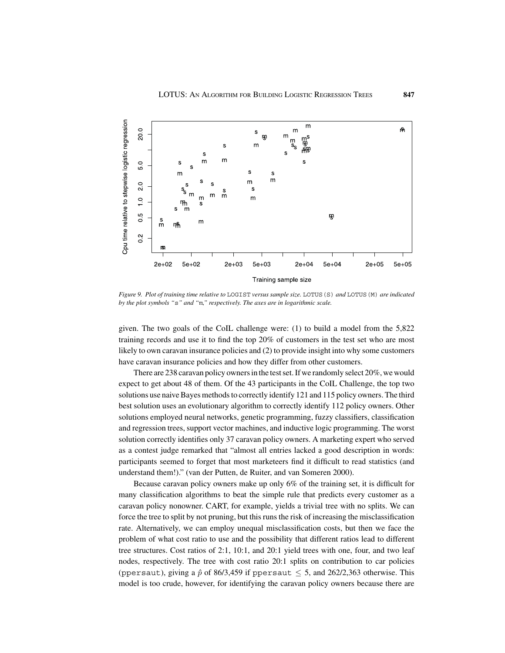

Figure 9. Plot of training time relative to LOGIST versus sample size. LOTUS (S) and LOTUS (M) are indicated by the plot symbols "s" and "m," respectively. The axes are in logarithmic scale.

given. The two goals of the CoIL challenge were:  $(1)$  to build a model from the 5,822 training records and use it to find the top 20% of customers in the test set who are most likely to own caravan insurance policies and (2) to provide insight into why some customers have caravan insurance policies and how they differ from other customers.

There are 238 caravan policy owners in the test set. If we randomly select 20%, we would expect to get about 48 of them. Of the 43 participants in the CoIL Challenge, the top two solutions use naive Bayes methods to correctly identify 121 and 115 policy owners. The third best solution uses an evolutionary algorithm to correctly identify 112 policy owners. Other solutions employed neural networks, genetic programming, fuzzy classifiers, classification and regression trees, support vector machines, and inductive logic programming. The worst solution correctly identifies only 37 caravan policy owners. A marketing expert who served as a contest judge remarked that "almost all entries lacked a good description in words: participants seemed to forget that most marketeers find it difficult to read statistics (and understand them!)." (van der Putten, de Ruiter, and van Someren 2000).

Because caravan policy owners make up only 6% of the training set, it is difficult for many classification algorithms to beat the simple rule that predicts every customer as a caravan policy nonowner. CART, for example, yields a trivial tree with no splits. We can force the tree to split by not pruning, but this runs the risk of increasing the misclassification rate. Alternatively, we can employ unequal misclassification costs, but then we face the problem of what cost ratio to use and the possibility that different ratios lead to different tree structures. Cost ratios of 2:1, 10:1, and 20:1 yield trees with one, four, and two leaf nodes, respectively. The tree with cost ratio 20:1 splits on contribution to car policies (ppersaut), giving a  $\hat{p}$  of 86/3,459 if ppersaut  $\leq$  5, and 262/2,363 otherwise. This model is too crude, however, for identifying the caravan policy owners because there are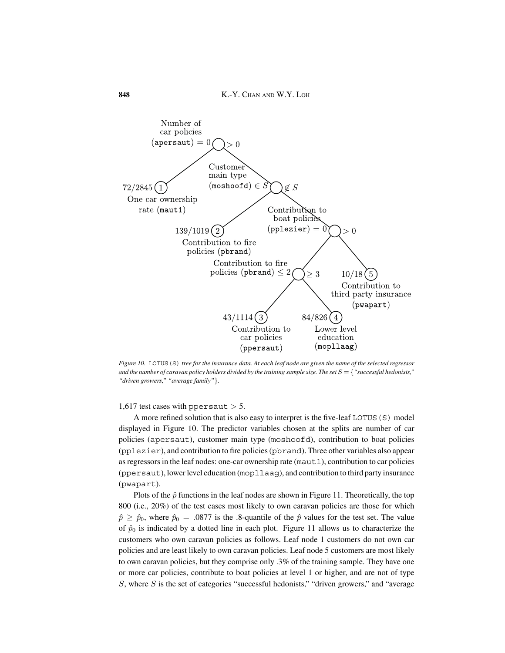

Figure 10. LOTUS (S) tree for the insurance data. At each leaf node are given the name of the selected regressor and the number of caravan policy holders divided by the training sample size. The set  $S = \{``successful\text{ hedonists,"}\}$ "driven growers," "average family"}.

1,617 test cases with ppersaut  $> 5$ .

A more refined solution that is also easy to interpret is the five-leaf LOTUS (S) model displayed in Figure 10. The predictor variables chosen at the splits are number of car policies (apersaut), customer main type (moshoofd), contribution to boat policies (pplezier), and contribution to fire policies (pbrand). Three other variables also appear as regressors in the leaf nodes: one-car ownership rate (maut1), contribution to car policies (ppersaut), lower level education (mop11aaq), and contribution to third party insurance (pwapart).

Plots of the  $\hat{p}$  functions in the leaf nodes are shown in Figure 11. Theoretically, the top 800 (i.e., 20%) of the test cases most likely to own caravan policies are those for which  $\hat{p} \ge \hat{p}_0$ , where  $\hat{p}_0 = .0877$  is the .8-quantile of the  $\hat{p}$  values for the test set. The value of  $\hat{p}_0$  is indicated by a dotted line in each plot. Figure 11 allows us to characterize the customers who own caravan policies as follows. Leaf node 1 customers do not own car policies and are least likely to own caravan policies. Leaf node 5 customers are most likely to own caravan policies, but they comprise only .3% of the training sample. They have one or more car policies, contribute to boat policies at level 1 or higher, and are not of type S, where S is the set of categories "successful hedonists," "driven growers," and "average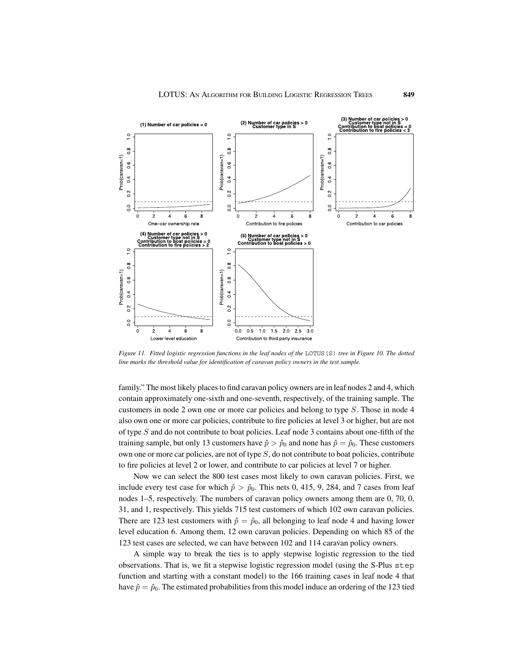

Figure 11. Fitted logistic regression functions in the leaf nodes of the LOTUS (S) tree in Figure 10. The dotted line marks the threshold value for identification of caravan policy owners in the test sample.

family." The most likely places to find caravan policy owners are in leaf nodes 2 and 4, which contain approximately one-sixth and one-seventh, respectively, of the training sample. The customers in node 2 own one or more car policies and belong to type S. Those in node 4 also own one or more car policies, contribute to fire policies at level 3 or higher, but are not of type S and do not contribute to boat policies. Leaf node 3 contains about one-fifth of the training sample, but only 13 customers have  $\hat{p} > \hat{p}_0$  and none has  $\hat{p} = \hat{p}_0$ . These customers own one or more car policies, are not of type  $S$ , do not contribute to boat policies, contribute to fire policies at level 2 or lower, and contribute to car policies at level 7 or higher.

Now we can select the 800 test cases most likely to own caravan policies. First, we include every test case for which  $\hat{p} > \hat{p}_0$ . This nets 0, 415, 9, 284, and 7 cases from leaf nodes  $1-5$ , respectively. The numbers of caravan policy owners among them are 0, 70, 0, 31, and 1, respectively. This yields 715 test customers of which 102 own caravan policies. There are 123 test customers with  $\hat{p} = \hat{p}_0$ , all belonging to leaf node 4 and having lower level education 6. Among them, 12 own caravan policies. Depending on which 85 of the 123 test cases are selected, we can have between 102 and 114 caravan policy owners.

A simple way to break the ties is to apply stepwise logistic regression to the tied observations. That is, we fit a stepwise logistic regression model (using the S-Plus step function and starting with a constant model) to the 166 training cases in leaf node 4 that have  $\hat{p} = \hat{p}_0$ . The estimated probabilities from this model induce an ordering of the 123 tied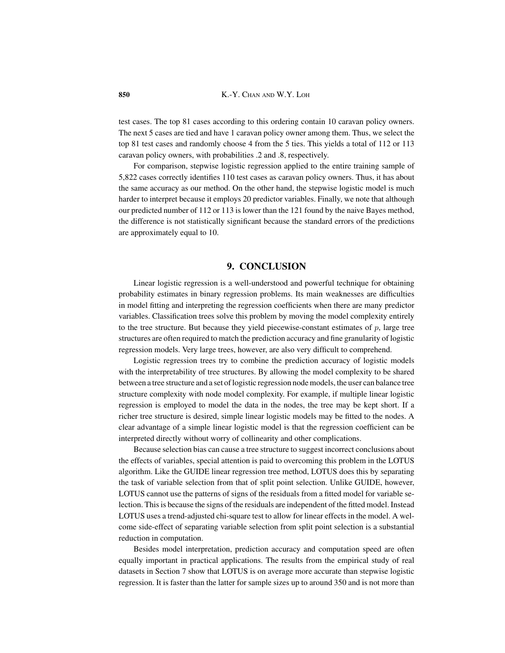test cases. The top 81 cases according to this ordering contain 10 caravan policy owners. The next 5 cases are tied and have 1 caravan policy owner among them. Thus, we select the top 81 test cases and randomly choose 4 from the 5 ties. This yields a total of 112 or 113 caravan policy owners, with probabilities .2 and .8, respectively.

For comparison, stepwise logistic regression applied to the entire training sample of 5,822 cases correctly identifies 110 test cases as caravan policy owners. Thus, it has about the same accuracy as our method. On the other hand, the stepwise logistic model is much harder to interpret because it employs 20 predictor variables. Finally, we note that although our predicted number of 112 or 113 is lower than the 121 found by the naive Bayes method, the difference is not statistically significant because the standard errors of the predictions are approximately equal to 10.

#### 9. CONCLUSION

Linear logistic regression is a well-understood and powerful technique for obtaining probability estimates in binary regression problems. Its main weaknesses are difficulties in model fitting and interpreting the regression coefficients when there are many predictor variables. Classification trees solve this problem by moving the model complexity entirely to the tree structure. But because they yield piecewise-constant estimates of  $p$ , large tree structures are often required to match the prediction accuracy and fine granularity of logistic regression models. Very large trees, however, are also very difficult to comprehend.

Logistic regression trees try to combine the prediction accuracy of logistic models with the interpretability of tree structures. By allowing the model complexity to be shared between a tree structure and a set of logistic regression node models, the user can balance tree structure complexity with node model complexity. For example, if multiple linear logistic regression is employed to model the data in the nodes, the tree may be kept short. If a richer tree structure is desired, simple linear logistic models may be fitted to the nodes. A clear advantage of a simple linear logistic model is that the regression coefficient can be interpreted directly without worry of collinearity and other complications.

Because selection bias can cause a tree structure to suggest incorrect conclusions about the effects of variables, special attention is paid to overcoming this problem in the LOTUS algorithm. Like the GUIDE linear regression tree method, LOTUS does this by separating the task of variable selection from that of split point selection. Unlike GUIDE, however, LOTUS cannot use the patterns of signs of the residuals from a fitted model for variable selection. This is because the signs of the residuals are independent of the fitted model. Instead LOTUS uses a trend-adjusted chi-square test to allow for linear effects in the model. A welcome side-effect of separating variable selection from split point selection is a substantial reduction in computation.

Besides model interpretation, prediction accuracy and computation speed are often equally important in practical applications. The results from the empirical study of real datasets in Section 7 show that LOTUS is on average more accurate than stepwise logistic regression. It is faster than the latter for sample sizes up to around 350 and is not more than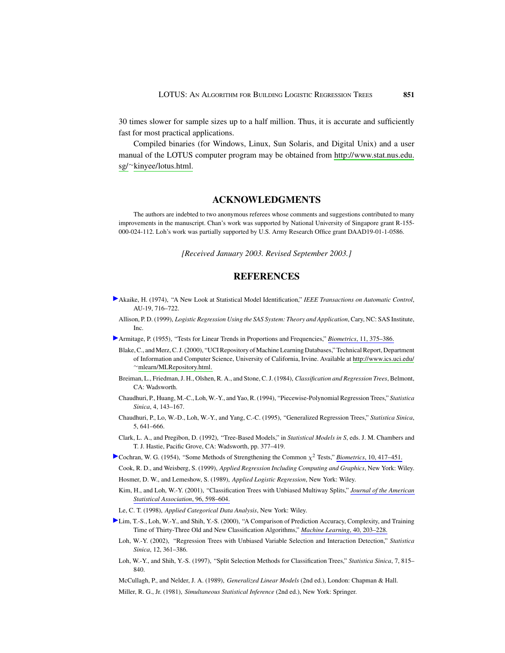30 times slower for sample sizes up to a half million. Thus, it is accurate and sufficiently fast for most practical applications.

Compiled binaries (for Windows, Linux, Sun Solaris, and Digital Unix) and a user manual of the LOTUS computer program may be obtained from http://www.stat.nus.edu. sg/~kinyee/lotus.html.

## **ACKNOWLEDGMENTS**

The authors are indebted to two anonymous referees whose comments and suggestions contributed to many improvements in the manuscript. Chan's work was supported by National University of Singapore grant R-155-000-024-112. Loh's work was partially supported by U.S. Army Research Office grant DAAD19-01-1-0586.

[Received January 2003. Revised September 2003.]

### **REFERENCES**

- Akaike, H. (1974), "A New Look at Statistical Model Identification," IEEE Transactions on Automatic Control, AU-19, 716-722.
	- Allison, P. D. (1999), Logistic Regression Using the SAS System: Theory and Application, Cary, NC: SAS Institute, Inc.
- > Armitage, P. (1955), "Tests for Linear Trends in Proportions and Frequencies," *Biometrics*, 11, 375–386.
	- Blake, C., and Merz, C.J. (2000), "UCI Repository of Machine Learning Databases," Technical Report, Department of Information and Computer Science, University of California, Irvine. Available at http://www.ics.uci.edu/  $\sim$ mlearn/MLRepository.html.
	- Breiman, L., Friedman, J. H., Olshen, R. A., and Stone, C. J. (1984), Classification and Regression Trees, Belmont, CA: Wadsworth.
	- Chaudhuri, P., Huang, M.-C., Loh, W.-Y., and Yao, R. (1994), "Piecewise-Polynomial Regression Trees," Statistica Sinica, 4, 143-167.
	- Chaudhuri, P., Lo, W.-D., Loh, W.-Y., and Yang, C.-C. (1995), "Generalized Regression Trees," Statistica Sinica, 5, 641-666.
	- Clark, L. A., and Pregibon, D. (1992), "Tree-Based Models," in Statistical Models in S, eds. J. M. Chambers and T. J. Hastie, Pacific Grove, CA: Wadsworth, pp. 377-419.
- Cochran, W. G. (1954), "Some Methods of Strengthening the Common  $\chi^2$  Tests," *Biometrics*, 10, 417–451.

Cook, R. D., and Weisberg, S. (1999), Applied Regression Including Computing and Graphics, New York: Wiley.

- Hosmer, D. W., and Lemeshow, S. (1989), Applied Logistic Regression, New York: Wiley.
- Kim, H., and Loh, W.-Y. (2001), "Classification Trees with Unbiased Multiway Splits," Journal of the American Statistical Association, 96, 598-604.
- Le, C. T. (1998), Applied Categorical Data Analysis, New York: Wiley.
- Lim, T.-S., Loh, W.-Y., and Shih, Y.-S. (2000), "A Comparison of Prediction Accuracy, Complexity, and Training Time of Thirty-Three Old and New Classification Algorithms," Machine Learning, 40, 203-228.
	- Loh, W.-Y. (2002), "Regression Trees with Unbiased Variable Selection and Interaction Detection," Statistica Sinica, 12, 361-386.
	- Loh, W.-Y., and Shih, Y.-S. (1997), "Split Selection Methods for Classification Trees," Statistica Sinica, 7, 815– 840.

McCullagh, P., and Nelder, J. A. (1989), *Generalized Linear Models* (2nd ed.), London: Chapman & Hall.

Miller, R. G., Jr. (1981), Simultaneous Statistical Inference (2nd ed.), New York: Springer.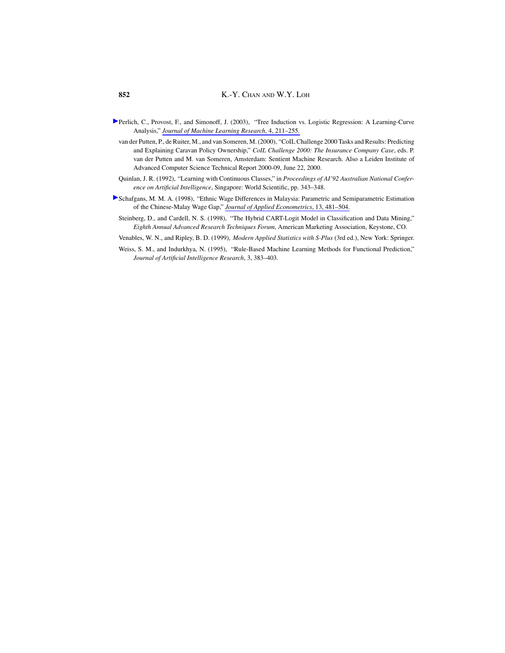- Perlich, C., Provost, F., and Simonoff, J. (2003), "Tree Induction vs. Logistic Regression: A Learning-Curve Analysis," Journal of Machine Learning Research, 4, 211-255.
	- van der Putten, P., de Ruiter, M., and van Someren, M. (2000), "CoIL Challenge 2000 Tasks and Results: Predicting and Explaining Caravan Policy Ownership," CoIL Challenge 2000: The Insurance Company Case, eds. P. van der Putten and M. van Someren, Amsterdam: Sentient Machine Research. Also a Leiden Institute of Advanced Computer Science Technical Report 2000-09, June 22, 2000.
	- Quinlan, J. R. (1992), "Learning with Continuous Classes," in Proceedings of AI'92 Australian National Conference on Artificial Intelligence, Singapore: World Scientific, pp. 343-348.
- Schafgans, M. M. A. (1998), "Ethnic Wage Differences in Malaysia: Parametric and Semiparametric Estimation of the Chinese-Malay Wage Gap," Journal of Applied Econometrics, 13, 481-504.
	- Steinberg, D., and Cardell, N. S. (1998), "The Hybrid CART-Logit Model in Classification and Data Mining," Eighth Annual Advanced Research Techniques Forum, American Marketing Association, Keystone, CO.
	- Venables, W. N., and Ripley, B. D. (1999), Modern Applied Statistics with S-Plus (3rd ed.), New York: Springer.
	- Weiss, S. M., and Indurkhya, N. (1995), "Rule-Based Machine Learning Methods for Functional Prediction," Journal of Artificial Intelligence Research, 3, 383-403.